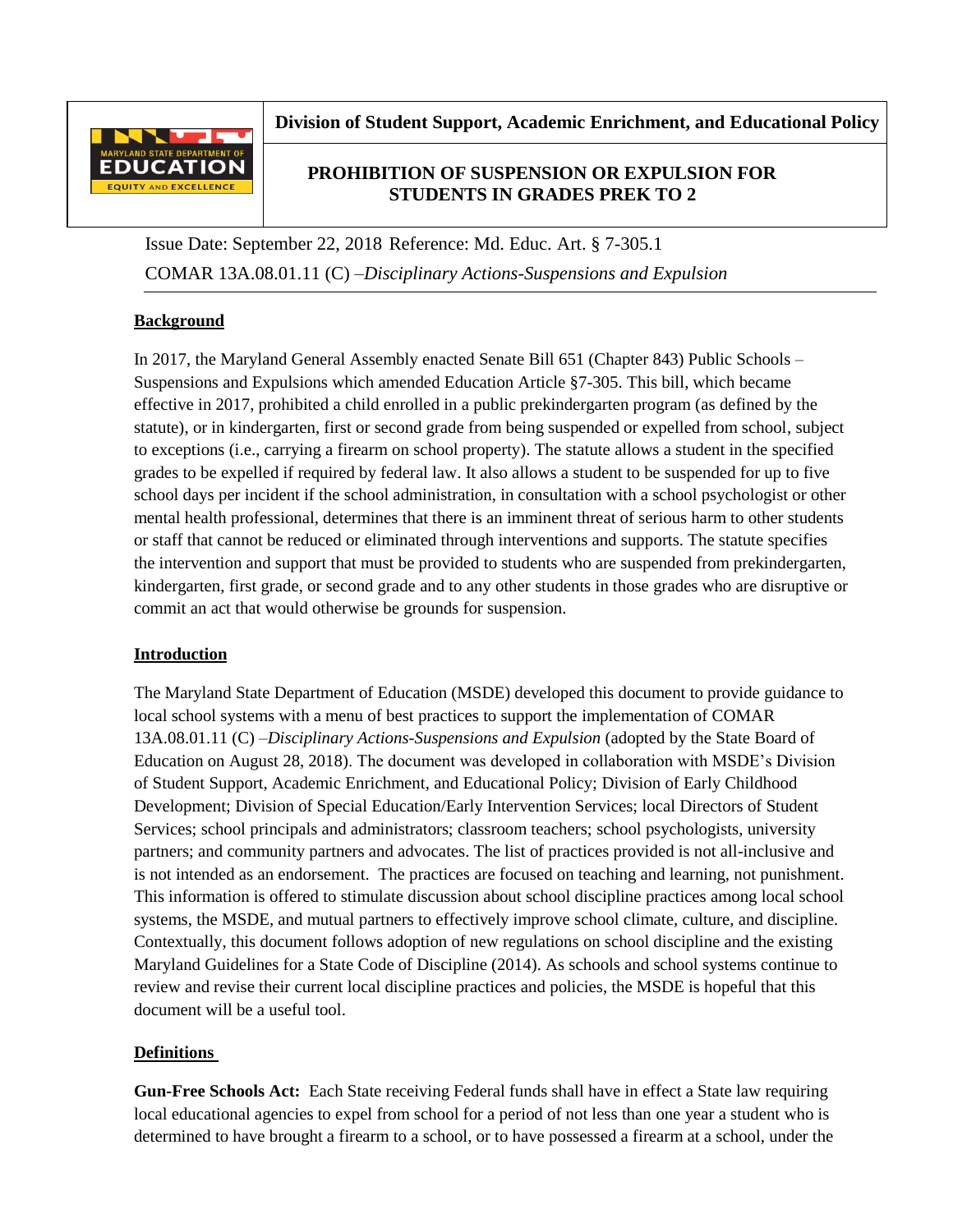

**Division of Student Support, Academic Enrichment, and Educational Policy**

# **PROHIBITION OF SUSPENSION OR EXPULSION FOR STUDENTS IN GRADES PREK TO 2**

Issue Date: September 22, 2018 Reference: Md. Educ. Art. § 7-305.1 COMAR 13A.08.01.11 (C) –*Disciplinary Actions-Suspensions and Expulsion*

# **Background**

In 2017, the Maryland General Assembly enacted Senate Bill 651 (Chapter 843) Public Schools – Suspensions and Expulsions which amended Education Article §7-305. This bill, which became effective in 2017, prohibited a child enrolled in a public prekindergarten program (as defined by the statute), or in kindergarten, first or second grade from being suspended or expelled from school, subject to exceptions (i.e., carrying a firearm on school property). The statute allows a student in the specified grades to be expelled if required by federal law. It also allows a student to be suspended for up to five school days per incident if the school administration, in consultation with a school psychologist or other mental health professional, determines that there is an imminent threat of serious harm to other students or staff that cannot be reduced or eliminated through interventions and supports. The statute specifies the intervention and support that must be provided to students who are suspended from prekindergarten, kindergarten, first grade, or second grade and to any other students in those grades who are disruptive or commit an act that would otherwise be grounds for suspension.

# **Introduction**

The Maryland State Department of Education (MSDE) developed this document to provide guidance to local school systems with a menu of best practices to support the implementation of COMAR 13A.08.01.11 (C) –*Disciplinary Actions-Suspensions and Expulsion* (adopted by the State Board of Education on August 28, 2018). The document was developed in collaboration with MSDE's Division of Student Support, Academic Enrichment, and Educational Policy; Division of Early Childhood Development; Division of Special Education/Early Intervention Services; local Directors of Student Services; school principals and administrators; classroom teachers; school psychologists, university partners; and community partners and advocates. The list of practices provided is not all-inclusive and is not intended as an endorsement. The practices are focused on teaching and learning, not punishment. This information is offered to stimulate discussion about school discipline practices among local school systems, the MSDE, and mutual partners to effectively improve school climate, culture, and discipline. Contextually, this document follows adoption of new regulations on school discipline and the existing Maryland Guidelines for a State Code of Discipline (2014). As schools and school systems continue to review and revise their current local discipline practices and policies, the MSDE is hopeful that this document will be a useful tool.

# **Definitions**

**Gun-Free Schools Act:** Each State receiving Federal funds shall have in effect a State law requiring local educational agencies to expel from school for a period of not less than one year a student who is determined to have brought a firearm to a school, or to have possessed a firearm at a school, under the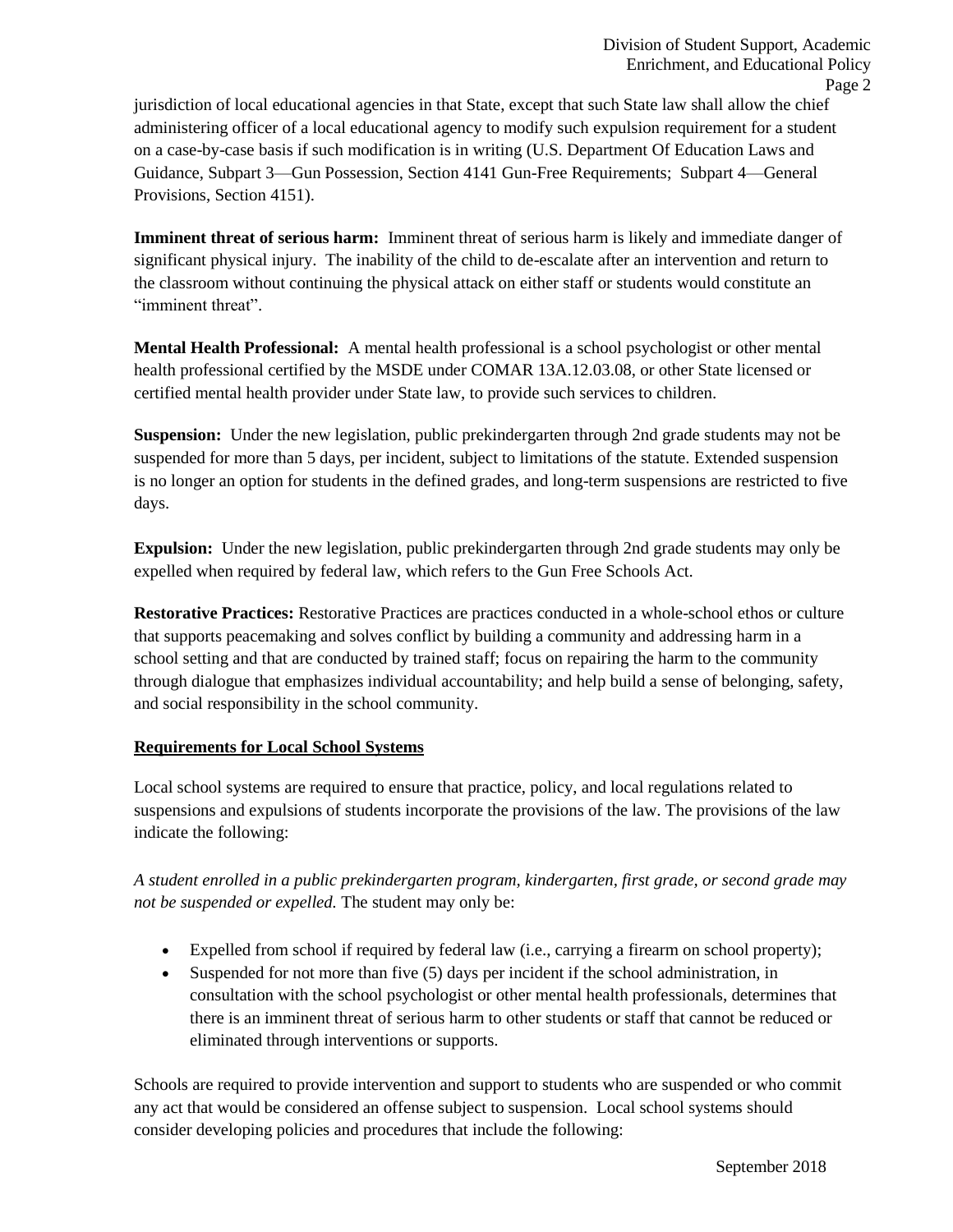jurisdiction of local educational agencies in that State, except that such State law shall allow the chief administering officer of a local educational agency to modify such expulsion requirement for a student on a case-by-case basis if such modification is in writing (U.S. Department Of Education Laws and Guidance, Subpart 3—Gun Possession, Section 4141 Gun-Free Requirements; Subpart 4—General Provisions, Section 4151).

**Imminent threat of serious harm:** Imminent threat of serious harm is likely and immediate danger of significant physical injury. The inability of the child to de-escalate after an intervention and return to the classroom without continuing the physical attack on either staff or students would constitute an "imminent threat".

**Mental Health Professional:** A mental health professional is a school psychologist or other mental health professional certified by the MSDE under COMAR 13A.12.03.08, or other State licensed or certified mental health provider under State law, to provide such services to children.

**Suspension:** Under the new legislation, public prekindergarten through 2nd grade students may not be suspended for more than 5 days, per incident, subject to limitations of the statute. Extended suspension is no longer an option for students in the defined grades, and long-term suspensions are restricted to five days.

**Expulsion:** Under the new legislation, public prekindergarten through 2nd grade students may only be expelled when required by federal law, which refers to the Gun Free Schools Act.

**Restorative Practices:** Restorative Practices are practices conducted in a whole-school ethos or culture that supports peacemaking and solves conflict by building a community and addressing harm in a school setting and that are conducted by trained staff; focus on repairing the harm to the community through dialogue that emphasizes individual accountability; and help build a sense of belonging, safety, and social responsibility in the school community.

## **Requirements for Local School Systems**

Local school systems are required to ensure that practice, policy, and local regulations related to suspensions and expulsions of students incorporate the provisions of the law. The provisions of the law indicate the following:

*A student enrolled in a public prekindergarten program, kindergarten, first grade, or second grade may not be suspended or expelled.* The student may only be:

- Expelled from school if required by federal law (i.e., carrying a firearm on school property);
- Suspended for not more than five (5) days per incident if the school administration, in consultation with the school psychologist or other mental health professionals, determines that there is an imminent threat of serious harm to other students or staff that cannot be reduced or eliminated through interventions or supports.

Schools are required to provide intervention and support to students who are suspended or who commit any act that would be considered an offense subject to suspension. Local school systems should consider developing policies and procedures that include the following: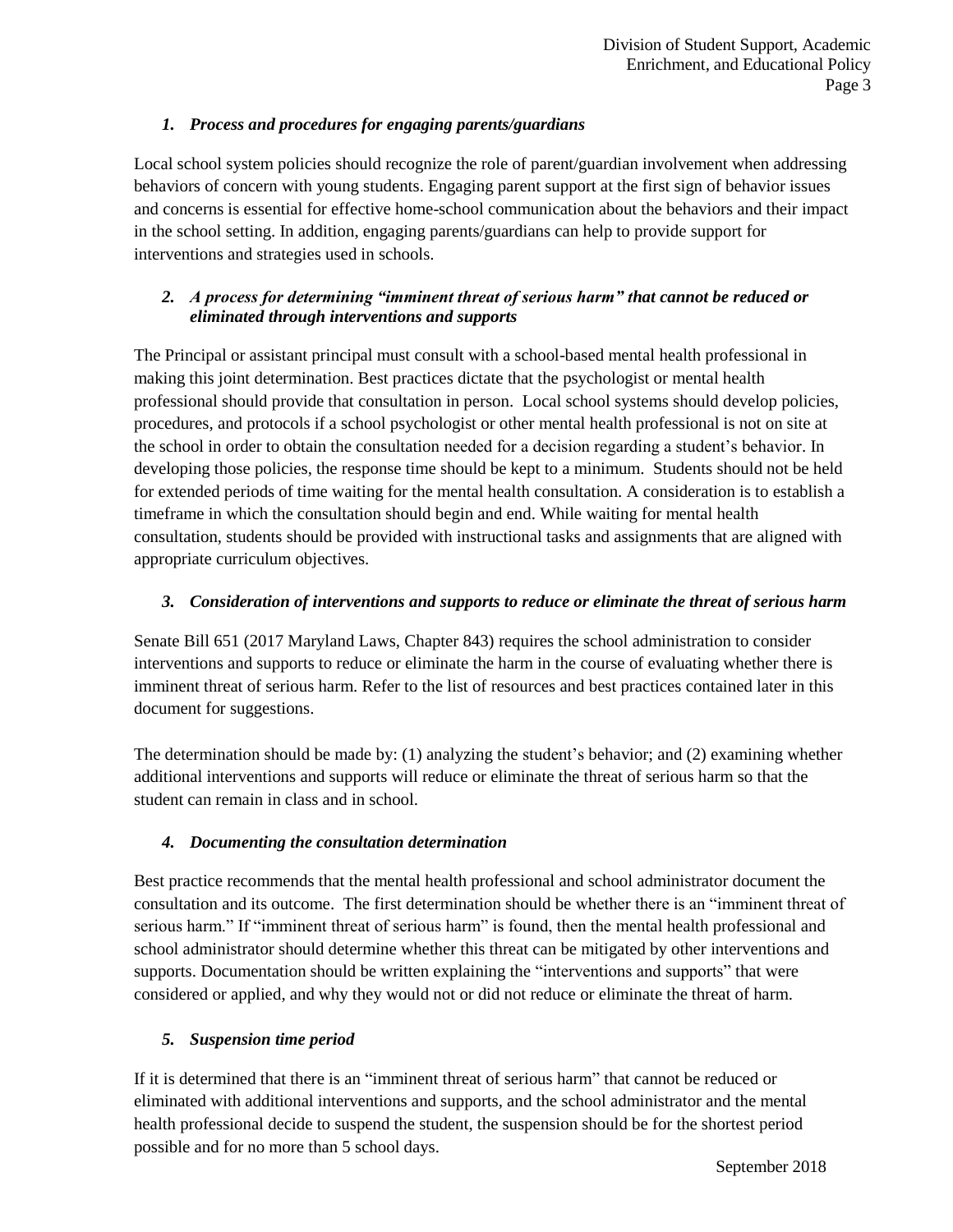# *1. Process and procedures for engaging parents/guardians*

Local school system policies should recognize the role of parent/guardian involvement when addressing behaviors of concern with young students. Engaging parent support at the first sign of behavior issues and concerns is essential for effective home-school communication about the behaviors and their impact in the school setting. In addition, engaging parents/guardians can help to provide support for interventions and strategies used in schools.

## *2. A process for determining "imminent threat of serious harm" that cannot be reduced or eliminated through interventions and supports*

The Principal or assistant principal must consult with a school-based mental health professional in making this joint determination. Best practices dictate that the psychologist or mental health professional should provide that consultation in person. Local school systems should develop policies, procedures, and protocols if a school psychologist or other mental health professional is not on site at the school in order to obtain the consultation needed for a decision regarding a student's behavior. In developing those policies, the response time should be kept to a minimum. Students should not be held for extended periods of time waiting for the mental health consultation. A consideration is to establish a timeframe in which the consultation should begin and end. While waiting for mental health consultation, students should be provided with instructional tasks and assignments that are aligned with appropriate curriculum objectives.

## *3. Consideration of interventions and supports to reduce or eliminate the threat of serious harm*

Senate Bill 651 (2017 Maryland Laws, Chapter 843) requires the school administration to consider interventions and supports to reduce or eliminate the harm in the course of evaluating whether there is imminent threat of serious harm. Refer to the list of resources and best practices contained later in this document for suggestions.

The determination should be made by: (1) analyzing the student's behavior; and (2) examining whether additional interventions and supports will reduce or eliminate the threat of serious harm so that the student can remain in class and in school.

## *4. Documenting the consultation determination*

Best practice recommends that the mental health professional and school administrator document the consultation and its outcome. The first determination should be whether there is an "imminent threat of serious harm." If "imminent threat of serious harm" is found, then the mental health professional and school administrator should determine whether this threat can be mitigated by other interventions and supports. Documentation should be written explaining the "interventions and supports" that were considered or applied, and why they would not or did not reduce or eliminate the threat of harm.

## *5. Suspension time period*

If it is determined that there is an "imminent threat of serious harm" that cannot be reduced or eliminated with additional interventions and supports, and the school administrator and the mental health professional decide to suspend the student, the suspension should be for the shortest period possible and for no more than 5 school days.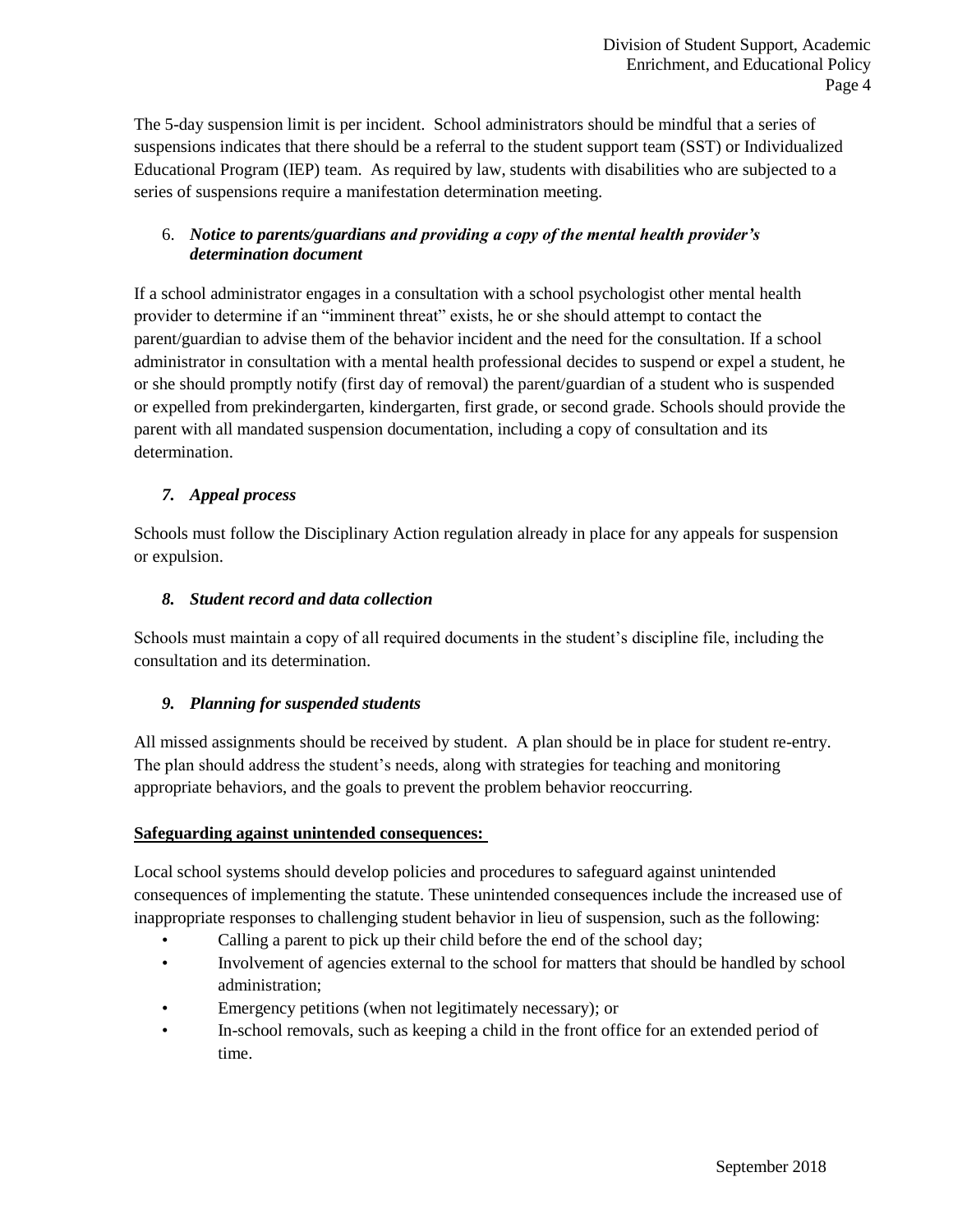The 5-day suspension limit is per incident. School administrators should be mindful that a series of suspensions indicates that there should be a referral to the student support team (SST) or Individualized Educational Program (IEP) team. As required by law, students with disabilities who are subjected to a series of suspensions require a manifestation determination meeting.

## 6. *Notice to parents/guardians and providing a copy of the mental health provider's determination document*

If a school administrator engages in a consultation with a school psychologist other mental health provider to determine if an "imminent threat" exists, he or she should attempt to contact the parent/guardian to advise them of the behavior incident and the need for the consultation. If a school administrator in consultation with a mental health professional decides to suspend or expel a student, he or she should promptly notify (first day of removal) the parent/guardian of a student who is suspended or expelled from prekindergarten, kindergarten, first grade, or second grade. Schools should provide the parent with all mandated suspension documentation, including a copy of consultation and its determination.

## *7. Appeal process*

Schools must follow the Disciplinary Action regulation already in place for any appeals for suspension or expulsion.

## *8. Student record and data collection*

Schools must maintain a copy of all required documents in the student's discipline file, including the consultation and its determination.

# *9. Planning for suspended students*

All missed assignments should be received by student. A plan should be in place for student re-entry. The plan should address the student's needs, along with strategies for teaching and monitoring appropriate behaviors, and the goals to prevent the problem behavior reoccurring.

## **Safeguarding against unintended consequences:**

Local school systems should develop policies and procedures to safeguard against unintended consequences of implementing the statute. These unintended consequences include the increased use of inappropriate responses to challenging student behavior in lieu of suspension, such as the following:

- Calling a parent to pick up their child before the end of the school day;
- Involvement of agencies external to the school for matters that should be handled by school administration;
- Emergency petitions (when not legitimately necessary); or
- In-school removals, such as keeping a child in the front office for an extended period of time.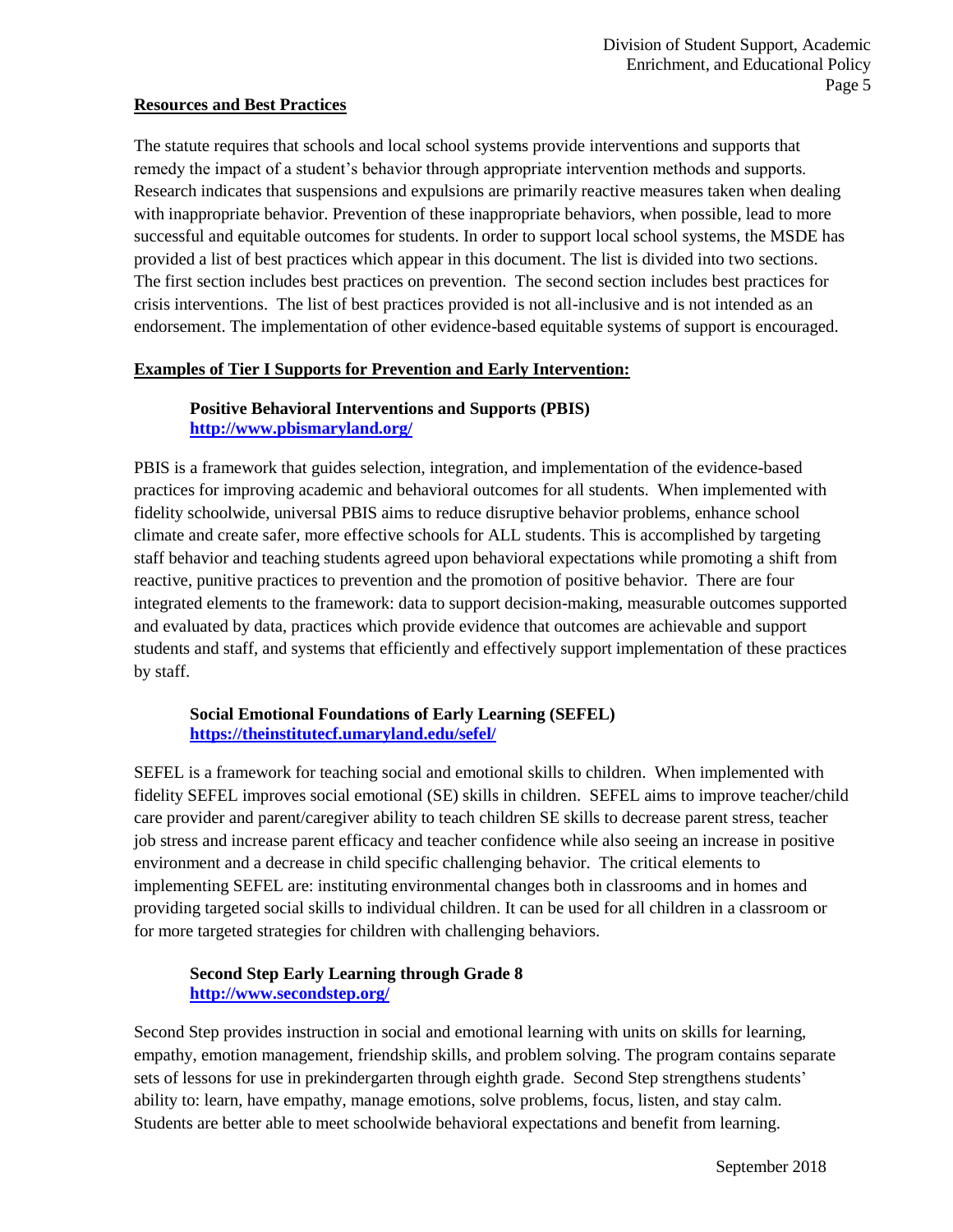#### **Resources and Best Practices**

The statute requires that schools and local school systems provide interventions and supports that remedy the impact of a student's behavior through appropriate intervention methods and supports. Research indicates that suspensions and expulsions are primarily reactive measures taken when dealing with inappropriate behavior. Prevention of these inappropriate behaviors, when possible, lead to more successful and equitable outcomes for students. In order to support local school systems, the MSDE has provided a list of best practices which appear in this document. The list is divided into two sections. The first section includes best practices on prevention. The second section includes best practices for crisis interventions. The list of best practices provided is not all-inclusive and is not intended as an endorsement. The implementation of other evidence-based equitable systems of support is encouraged.

#### **Examples of Tier I Supports for Prevention and Early Intervention:**

## **Positive Behavioral Interventions and Supports (PBIS) <http://www.pbismaryland.org/>**

PBIS is a framework that guides selection, integration, and implementation of the evidence-based practices for improving academic and behavioral outcomes for all students. When implemented with fidelity schoolwide, universal PBIS aims to reduce disruptive behavior problems, enhance school climate and create safer, more effective schools for ALL students. This is accomplished by targeting staff behavior and teaching students agreed upon behavioral expectations while promoting a shift from reactive, punitive practices to prevention and the promotion of positive behavior. There are four integrated elements to the framework: data to support decision-making, measurable outcomes supported and evaluated by data, practices which provide evidence that outcomes are achievable and support students and staff, and systems that efficiently and effectively support implementation of these practices by staff.

## **Social Emotional Foundations of Early Learning (SEFEL) <https://theinstitutecf.umaryland.edu/sefel/>**

SEFEL is a framework for teaching social and emotional skills to children. When implemented with fidelity SEFEL improves social emotional (SE) skills in children. SEFEL aims to improve teacher/child care provider and parent/caregiver ability to teach children SE skills to decrease parent stress, teacher job stress and increase parent efficacy and teacher confidence while also seeing an increase in positive environment and a decrease in child specific challenging behavior. The critical elements to implementing SEFEL are: instituting environmental changes both in classrooms and in homes and providing targeted social skills to individual children. It can be used for all children in a classroom or for more targeted strategies for children with challenging behaviors.

## **Second Step Early Learning through Grade 8 <http://www.secondstep.org/>**

Second Step provides instruction in social and emotional learning with units on skills for learning, empathy, emotion management, friendship skills, and problem solving. The program contains separate sets of lessons for use in prekindergarten through eighth grade. Second Step strengthens students' ability to: learn, have empathy, manage emotions, solve problems, focus, listen, and stay calm. Students are better able to meet schoolwide behavioral expectations and benefit from learning.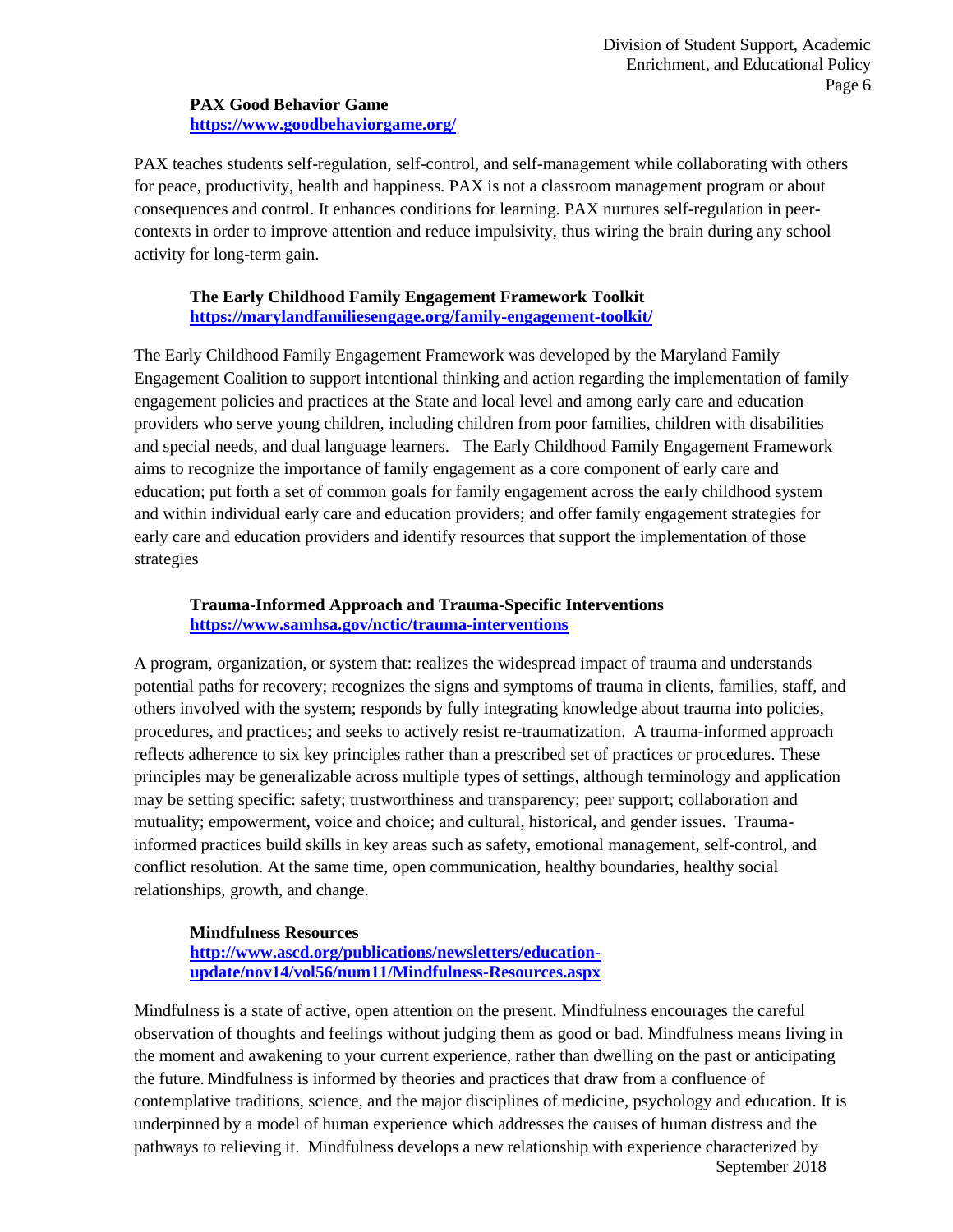**PAX Good Behavior Game <https://www.goodbehaviorgame.org/>**

PAX teaches students self-regulation, self-control, and self-management while collaborating with others for peace, productivity, health and happiness. PAX is not a classroom management program or about consequences and control. It enhances conditions for learning. PAX nurtures self-regulation in peercontexts in order to improve attention and reduce impulsivity, thus wiring the brain during any school activity for long-term gain.

#### **The Early Childhood Family Engagement Framework Toolkit <https://marylandfamiliesengage.org/family-engagement-toolkit/>**

The Early Childhood Family Engagement Framework was developed by the Maryland Family Engagement Coalition to support intentional thinking and action regarding the implementation of family engagement policies and practices at the State and local level and among early care and education providers who serve young children, including children from poor families, children with disabilities and special needs, and dual language learners. The Early Childhood Family Engagement Framework aims to recognize the importance of family engagement as a core component of early care and education; put forth a set of common goals for family engagement across the early childhood system and within individual early care and education providers; and offer family engagement strategies for early care and education providers and identify resources that support the implementation of those strategies

## **Trauma-Informed Approach and Trauma-Specific Interventions <https://www.samhsa.gov/nctic/trauma-interventions>**

A program, organization, or system that: realizes the widespread impact of trauma and understands potential paths for recovery; recognizes the signs and symptoms of trauma in clients, families, staff, and others involved with the system; responds by fully integrating knowledge about trauma into policies, procedures, and practices; and seeks to actively resist re-traumatization. A trauma-informed approach reflects adherence to six key principles rather than a prescribed set of practices or procedures. These principles may be generalizable across multiple types of settings, although terminology and application may be setting specific: safety; trustworthiness and transparency; peer support; collaboration and mutuality; empowerment, voice and choice; and cultural, historical, and gender issues. Traumainformed practices build skills in key areas such as safety, emotional management, self-control, and conflict resolution. At the same time, open communication, healthy boundaries, healthy social relationships, growth, and change.

## **Mindfulness Resources**

**[http://www.ascd.org/publications/newsletters/education](http://www.ascd.org/publications/newsletters/education-update/nov14/vol56/num11/Mindfulness-Resources.aspx)[update/nov14/vol56/num11/Mindfulness-Resources.aspx](http://www.ascd.org/publications/newsletters/education-update/nov14/vol56/num11/Mindfulness-Resources.aspx)**

September 2018 Mindfulness is a state of active, open attention on the present. Mindfulness encourages the careful observation of thoughts and feelings without judging them as good or bad. Mindfulness means living in the moment and awakening to your current experience, rather than dwelling on the past or anticipating the future. Mindfulness is informed by theories and practices that draw from a confluence of contemplative traditions, science, and the major disciplines of medicine, psychology and education. It is underpinned by a model of human experience which addresses the causes of human distress and the pathways to relieving it. Mindfulness develops a new relationship with experience characterized by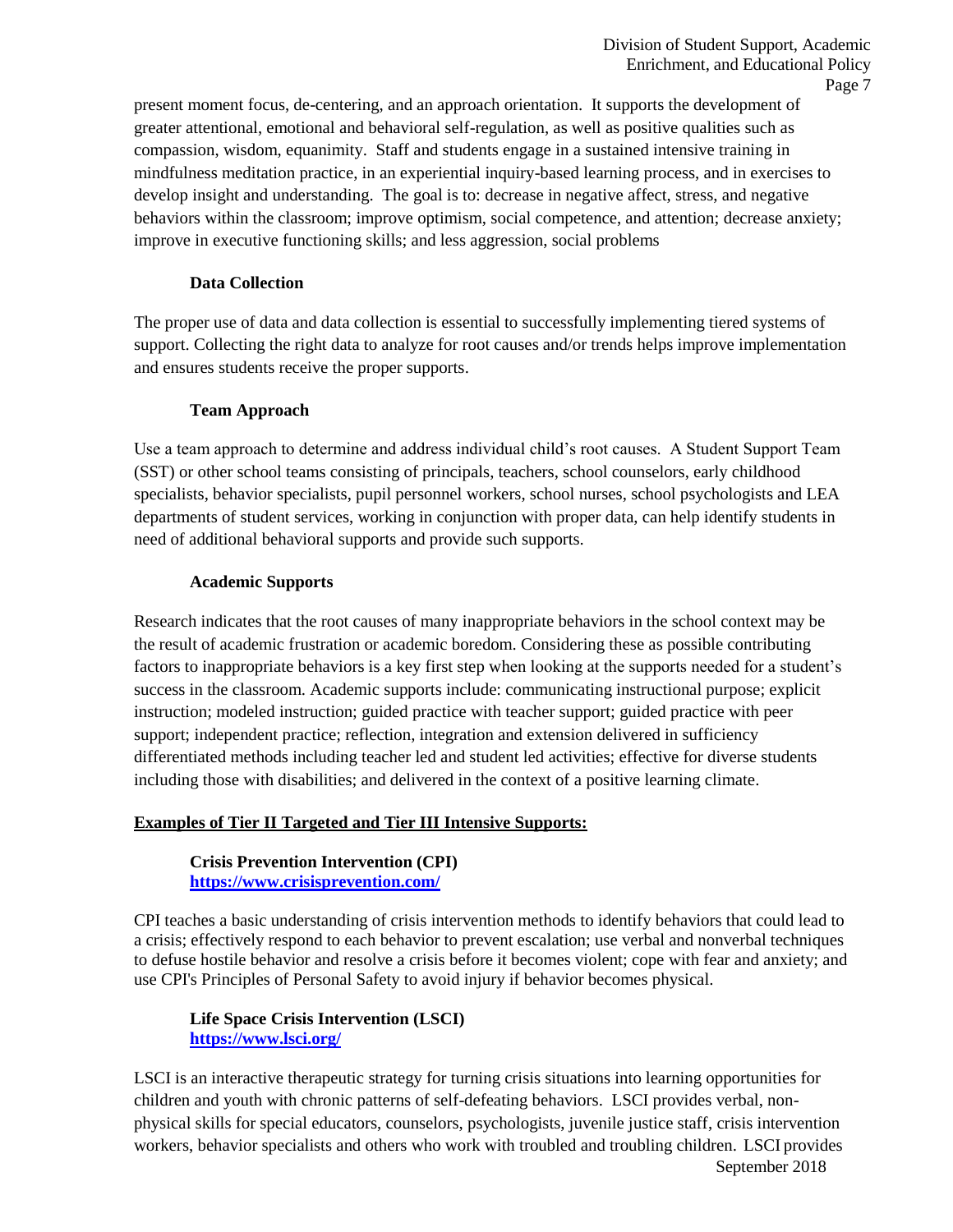present moment focus, de-centering, and an approach orientation. It supports the development of greater attentional, emotional and behavioral self-regulation, as well as positive qualities such as compassion, wisdom, equanimity. Staff and students engage in a sustained intensive training in mindfulness meditation practice, in an experiential inquiry-based learning process, and in exercises to develop insight and understanding. The goal is to: decrease in negative affect, stress, and negative behaviors within the classroom; improve optimism, social competence, and attention; decrease anxiety; improve in executive functioning skills; and less aggression, social problems

#### **Data Collection**

The proper use of data and data collection is essential to successfully implementing tiered systems of support. Collecting the right data to analyze for root causes and/or trends helps improve implementation and ensures students receive the proper supports.

#### **Team Approach**

Use a team approach to determine and address individual child's root causes. A Student Support Team (SST) or other school teams consisting of principals, teachers, school counselors, early childhood specialists, behavior specialists, pupil personnel workers, school nurses, school psychologists and LEA departments of student services, working in conjunction with proper data, can help identify students in need of additional behavioral supports and provide such supports.

#### **Academic Supports**

Research indicates that the root causes of many inappropriate behaviors in the school context may be the result of academic frustration or academic boredom. Considering these as possible contributing factors to inappropriate behaviors is a key first step when looking at the supports needed for a student's success in the classroom. Academic supports include: communicating instructional purpose; explicit instruction; modeled instruction; guided practice with teacher support; guided practice with peer support; independent practice; reflection, integration and extension delivered in sufficiency differentiated methods including teacher led and student led activities; effective for diverse students including those with disabilities; and delivered in the context of a positive learning climate.

#### **Examples of Tier II Targeted and Tier III Intensive Supports:**

**Crisis Prevention Intervention (CPI) <https://www.crisisprevention.com/>**

CPI teaches a basic understanding of crisis intervention methods to identify behaviors that could lead to a crisis; effectively respond to each behavior to prevent escalation; use verbal and nonverbal techniques to defuse hostile behavior and resolve a crisis before it becomes violent; cope with fear and anxiety; and use CPI's Principles of Personal Safety to avoid injury if behavior becomes physical.

#### **Life Space Crisis Intervention (LSCI) <https://www.lsci.org/>**

September 2018 LSCI is an interactive therapeutic strategy for turning crisis situations into learning opportunities for children and youth with chronic patterns of self-defeating behaviors. LSCI provides verbal, nonphysical skills for special educators, counselors, psychologists, juvenile justice staff, crisis intervention workers, behavior specialists and others who work with troubled and troubling children. LSCI provides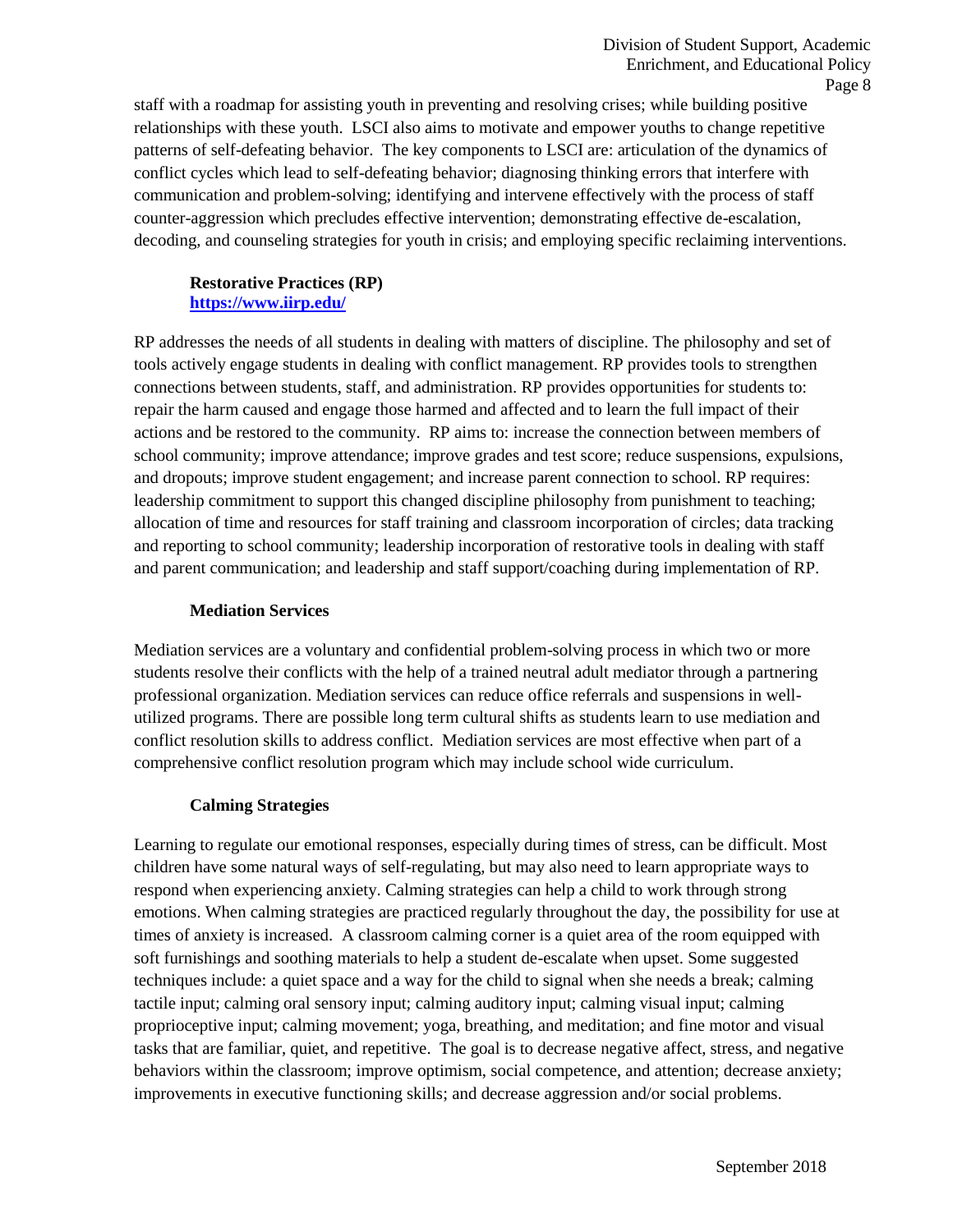staff with a roadmap for assisting youth in preventing and resolving crises; while building positive relationships with these youth. LSCI also aims to motivate and empower youths to change repetitive patterns of self-defeating behavior. The key components to LSCI are: articulation of the dynamics of conflict cycles which lead to self-defeating behavior; diagnosing thinking errors that interfere with communication and problem-solving; identifying and intervene effectively with the process of staff counter-aggression which precludes effective intervention; demonstrating effective de-escalation, decoding, and counseling strategies for youth in crisis; and employing specific reclaiming interventions.

## **Restorative Practices (RP) <https://www.iirp.edu/>**

RP addresses the needs of all students in dealing with matters of discipline. The philosophy and set of tools actively engage students in dealing with conflict management. RP provides tools to strengthen connections between students, staff, and administration. RP provides opportunities for students to: repair the harm caused and engage those harmed and affected and to learn the full impact of their actions and be restored to the community. RP aims to: increase the connection between members of school community; improve attendance; improve grades and test score; reduce suspensions, expulsions, and dropouts; improve student engagement; and increase parent connection to school. RP requires: leadership commitment to support this changed discipline philosophy from punishment to teaching; allocation of time and resources for staff training and classroom incorporation of circles; data tracking and reporting to school community; leadership incorporation of restorative tools in dealing with staff and parent communication; and leadership and staff support/coaching during implementation of RP.

#### **Mediation Services**

Mediation services are a voluntary and confidential problem-solving process in which two or more students resolve their conflicts with the help of a trained neutral adult mediator through a partnering professional organization. Mediation services can reduce office referrals and suspensions in wellutilized programs. There are possible long term cultural shifts as students learn to use mediation and conflict resolution skills to address conflict. Mediation services are most effective when part of a comprehensive conflict resolution program which may include school wide curriculum.

## **Calming Strategies**

Learning to regulate our emotional responses, especially during times of stress, can be difficult. Most children have some natural ways of self-regulating, but may also need to learn appropriate ways to respond when experiencing anxiety. Calming strategies can help a child to work through strong emotions. When calming strategies are practiced regularly throughout the day, the possibility for use at times of anxiety is increased. A classroom calming corner is a quiet area of the room equipped with soft furnishings and soothing materials to help a student de-escalate when upset. Some suggested techniques include: a quiet space and a way for the child to signal when she needs a break; calming tactile input; calming oral sensory input; calming auditory input; calming visual input; calming proprioceptive input; calming movement; yoga, breathing, and meditation; and fine motor and visual tasks that are familiar, quiet, and repetitive. The goal is to decrease negative affect, stress, and negative behaviors within the classroom; improve optimism, social competence, and attention; decrease anxiety; improvements in executive functioning skills; and decrease aggression and/or social problems.